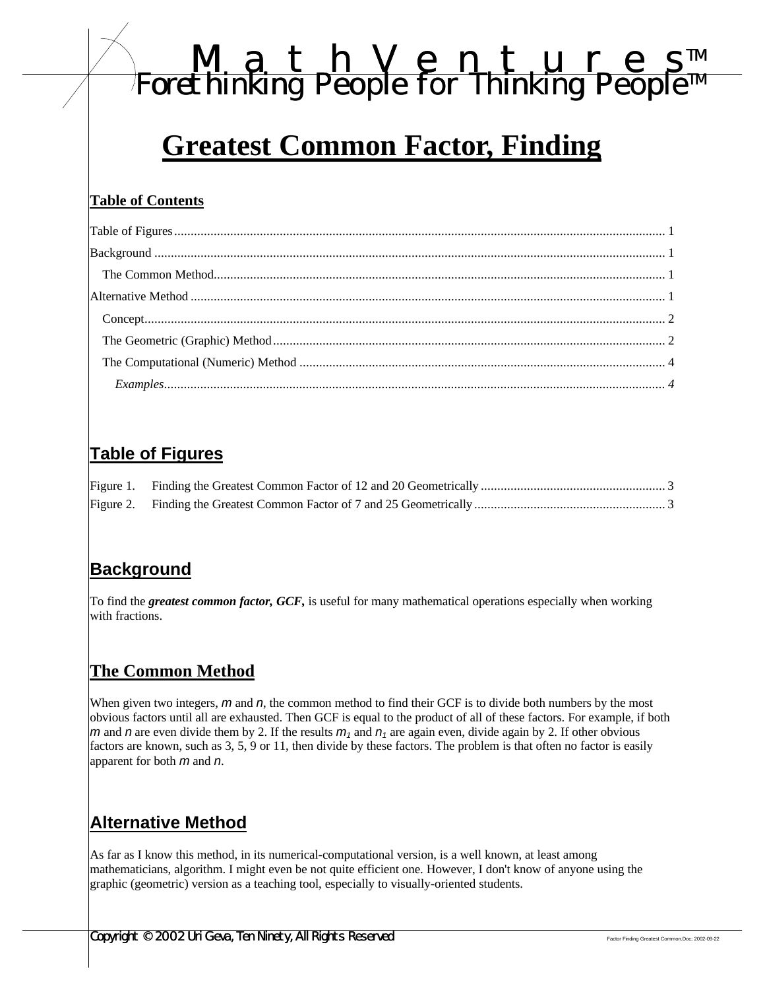# *MathVenture s TM Forethinking People for Thinking People TM*

# **Greatest Common Factor, Finding**

#### **Table of Contents**

| Examples 1.14 |  |
|---------------|--|

# **Table of Figures**

## **Background**

To find the *greatest common factor, GCF,* is useful for many mathematical operations especially when working with fractions.

## **The Common Method**

When given two integers, *m* and *n*, the common method to find their GCF is to divide both numbers by the most obvious factors until all are exhausted. Then GCF is equal to the product of all of these factors. For example, if both *m* and *n* are even divide them by 2. If the results  $m_1$  and  $n_1$  are again even, divide again by 2. If other obvious factors are known, such as 3, 5, 9 or 11, then divide by these factors. The problem is that often no factor is easily apparent for both *m* and *n*.

# **Alternative Method**

As far as I know this method, in its numerical-computational version, is a well known, at least among mathematicians, algorithm. I might even be not quite efficient one. However, I don't know of anyone using the graphic (geometric) version as a teaching tool, especially to visually-oriented students.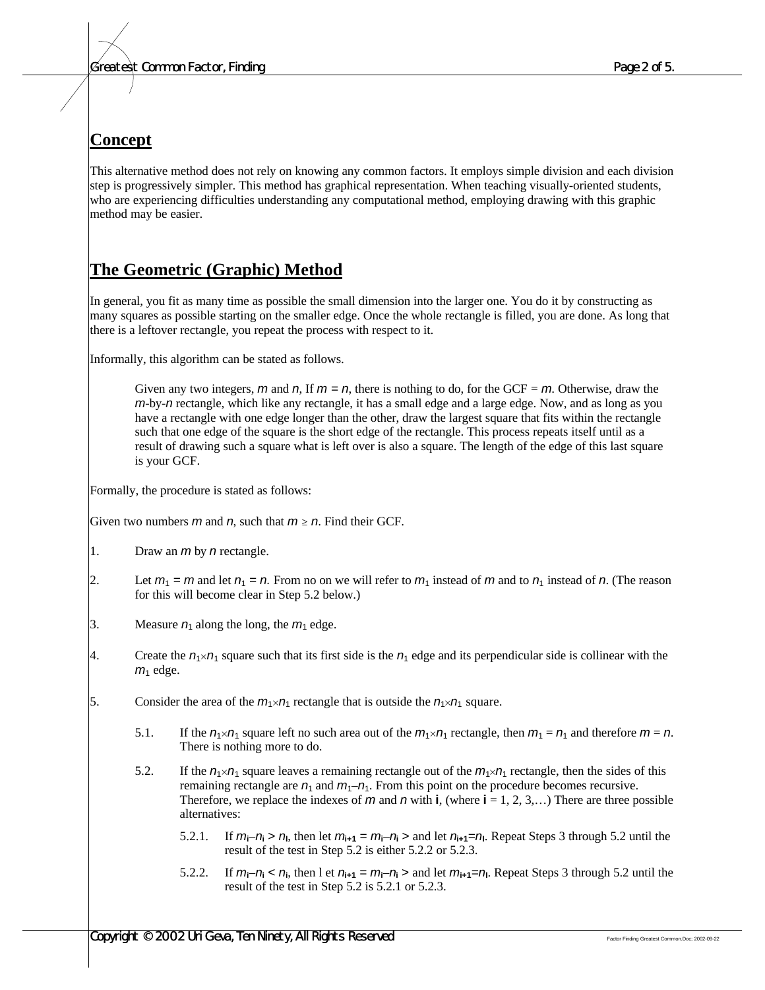### **Concept**

This alternative method does not rely on knowing any common factors. It employs simple division and each division step is progressively simpler. This method has graphical representation. When teaching visually-oriented students, who are experiencing difficulties understanding any computational method, employing drawing with this graphic method may be easier.

### **The Geometric (Graphic) Method**

In general, you fit as many time as possible the small dimension into the larger one. You do it by constructing as many squares as possible starting on the smaller edge. Once the whole rectangle is filled, you are done. As long that there is a leftover rectangle, you repeat the process with respect to it.

Informally, this algorithm can be stated as follows.

Given any two integers, *m* and *n*, If  $m = n$ , there is nothing to do, for the GCF = *m*. Otherwise, draw the *m*-by-*n* rectangle, which like any rectangle, it has a small edge and a large edge. Now, and as long as you have a rectangle with one edge longer than the other, draw the largest square that fits within the rectangle such that one edge of the square is the short edge of the rectangle. This process repeats itself until as a result of drawing such a square what is left over is also a square. The length of the edge of this last square is your GCF.

Formally, the procedure is stated as follows:

Given two numbers *m* and *n*, such that  $m \ge n$ . Find their GCF.

- 1. Draw an *m* by *n* rectangle.
- 2. Let  $m_1 = m$  and let  $n_1 = n$ . From no on we will refer to  $m_1$  instead of m and to  $n_1$  instead of n. (The reason for this will become clear in Step 5.2 below.)
- 3. Measure  $n_1$  along the long, the  $m_1$  edge.
- 4. Create the  $n_1 \times n_1$  square such that its first side is the  $n_1$  edge and its perpendicular side is collinear with the  $m<sub>1</sub>$  edge.
- 5. Consider the area of the  $m_1 \times n_1$  rectangle that is outside the  $n_1 \times n_1$  square.
	- 5.1. If the  $n_1 \times n_1$  square left no such area out of the  $m_1 \times n_1$  rectangle, then  $m_1 = n_1$  and therefore  $m = n$ . There is nothing more to do.
	- 5.2. If the  $n_1 \times n_1$  square leaves a remaining rectangle out of the  $m_1 \times n_1$  rectangle, then the sides of this remaining rectangle are  $n_1$  and  $m_1$ – $n_1$ . From this point on the procedure becomes recursive. Therefore, we replace the indexes of  $m$  and  $n$  with **i**, (where  $\mathbf{i} = 1, 2, 3, \dots$ ) There are three possible alternatives:
		- 5.2.1. If  $m_i n_i > n$ , then let  $m_{i+1} = m_i n_i >$  and let  $n_{i+1} = n_i$ . Repeat Steps 3 through 5.2 until the result of the test in Step 5.2 is either 5.2.2 or 5.2.3.
		- 5.2.2. If  $m_i n_i < n_i$ , then l et  $n_{i+1} = m_i n_i >$  and let  $m_{i+1} = n_i$ . Repeat Steps 3 through 5.2 until the result of the test in Step 5.2 is 5.2.1 or 5.2.3.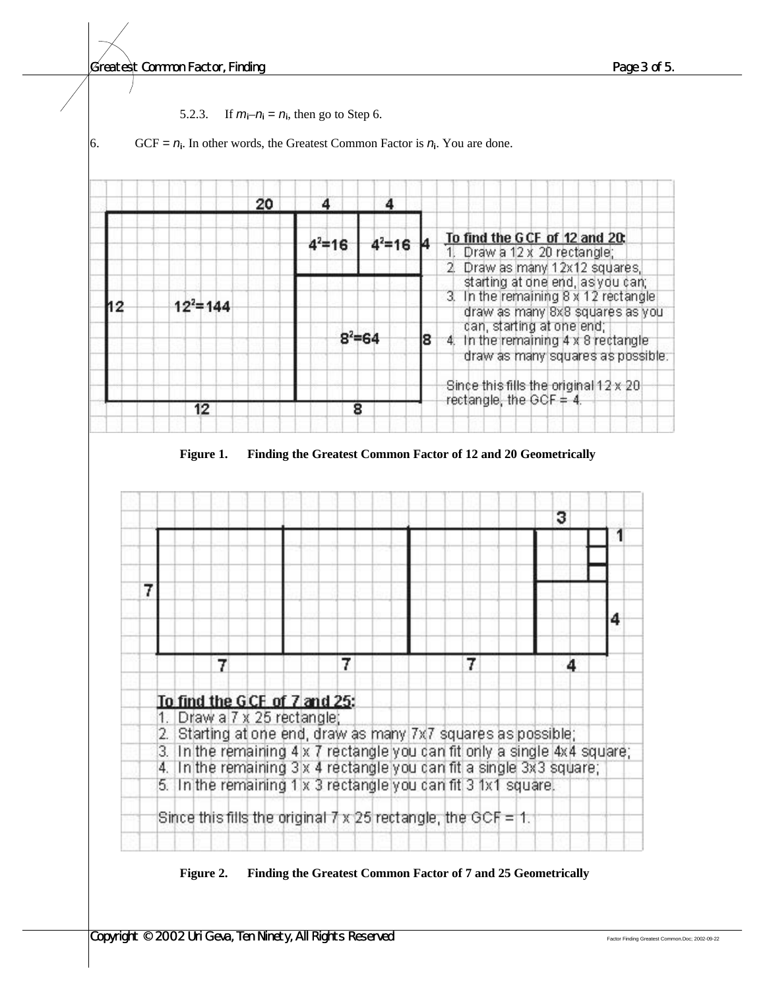#### *Greatest Common Factor, Finding Page 3 of 5.*





#### **Figure 2. Finding the Greatest Common Factor of 7 and 25 Geometrically**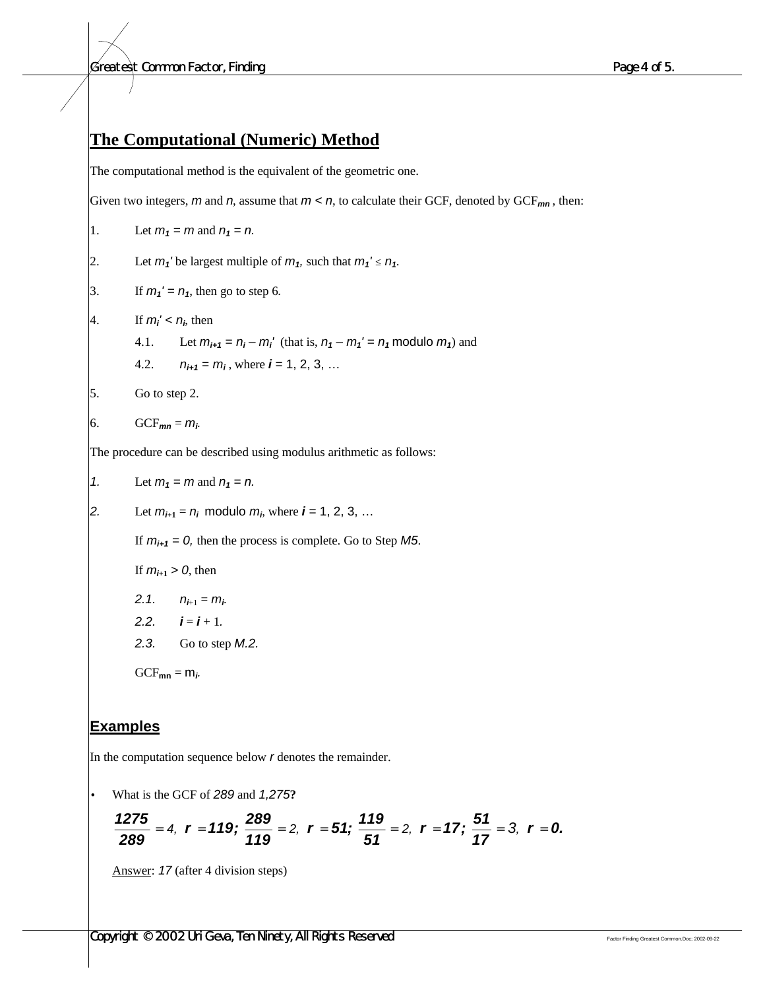#### *Greatest Common Factor, Finding Page 4 of 5.*

#### **The Computational (Numeric) Method**

The computational method is the equivalent of the geometric one.

Given two integers, *m* and *n*, assume that *m < n*, to calculate their GCF, denoted by GCF*mn* , then:

1. Let  $m_1 = m$  and  $n_1 = n$ .

- 2. Let  $m_1$ <sup>*'*</sup> be largest multiple of  $m_1$ , such that  $m_1' \le n_1$ .
- 3. If  $m_1' = n_1$ , then go to step 6.
- 4. If  $m_i' < n_i$ , then
	- 4.1. Let  $m_{i+1} = n_i m_i'$  (that is,  $n_1 m_1' = n_1$  modulo  $m_1$ ) and
	- 4.2.  $n_{i+1} = m_i$ , where  $i = 1, 2, 3, ...$
- 5. Go to step 2.

$$
6. \hspace{1cm} GCF_{mn} = m_i.
$$

The procedure can be described using modulus arithmetic as follows:

1. Let 
$$
m_1 = m
$$
 and  $n_1 = n$ .

2. Let  $m_{i+1} = n_i$  modulo  $m_i$ , where  $i = 1, 2, 3, ...$ 

If  $m_{i+1} = 0$ , then the process is complete. Go to Step *M5*.

If 
$$
m_{i+1} > 0
$$
, then

$$
2.1. \qquad n_{i+1}=m_i.
$$

- 2.2.  $i = i + 1$ .
- *2.3.* Go to step *M.2.*

 $GCF_{mn} = m_i$ 

#### **Examples**

In the computation sequence below *r* denotes the remainder.

• What is the GCF of *289* and *1,275***?**

$$
\frac{1275}{289}=4, r=119; \frac{289}{119}=2, r=51; \frac{119}{51}=2, r=17; \frac{51}{17}=3, r=0.
$$

Answer: *17* (after 4 division steps)

**Copyright © 2002 Uri Geva, Ten Ninety, All Rights Reserved** Factor **Finding Greatest Common.Doc**; 2002-09-22